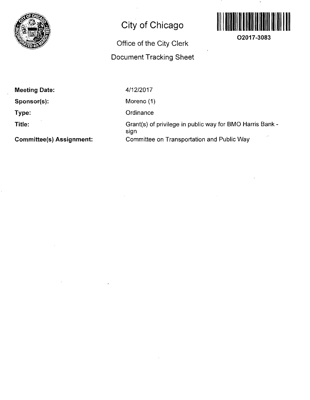

## **City of Chicago**

## **Office of the City Clerk Document Tracking Sheet**



 $\pm$ 

**O2017-3083** 

**Meeting Date:** 

**Sponsor(s):** 

**Type:** 

**Title:** 

**Committee(s) Assignment:** 

4/12/2017

Moreno (1)

**Ordinance** 

Grant(s) of privilege in public way for BMO Harris Bank sign Committee on Transportation and Public Way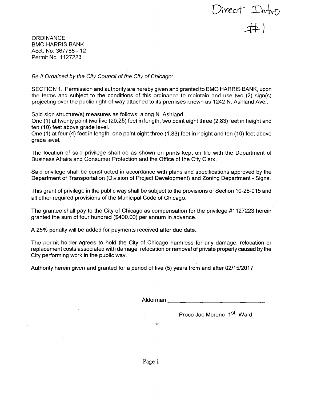Direct Intro<br>#1

**ORDINANCE** BMO HARRIS BANK Acct. No. 367785- 12 Permit No. 1127223

Be It Ordained by the City Council of the City of Chicago:

SECTION 1. Permission and authority are hereby given and granted to BMO HARRIS BANK, upon the terms and subject to the conditions of this ordinance to maintain and use two (2) sign(s) projecting over the public right-of-way attached to its premises known as 1242 N. Ashland Ave..

Said sign structure(s) measures as follows; along N. Ashland:

One (1) at twenty point two five (20.25) feet in length, two point eight three (2.83) feet in height and ten (10) feet above grade level.

One (1) at four (4) feet in length, one point eight three (1.83) feet in height and ten (10) feet above grade level.

The location of said privilege shall be as shown on prints kept on file with the Department of Business Affairs and Consumer Protection and the Office of the City Clerk.

Said privilege shall be constructed in accordance with plans and specifications approved by the Department of Transportation (Division of Project Development) and Zoning Department - Signs.

This grant of privilege in the public way shall be subject to the provisions of Section 10-28-015 and all other required provisions of the Municipal Code of Chicago.

The grantee shall pay to the City of Chicago as compensation for the privilege #1127223 herein granted the sum of four hundred (\$400.00) per annum in advance.

A 25% penalty will be added for payments received after due date.

The permit holder agrees to hold the City of Chicago harmless for any damage, relocation or replacement costs associated with damage, relocation or removal of private property caused by the City performing work in the public way.

Authority herein given and granted for a period of five (5) years from and after 02/15/2017.

Alderman <u> 1990 - John Harry Barn, mars a</u>

Proco Joe Moreno 1st Ward

 $\mathcal{C}$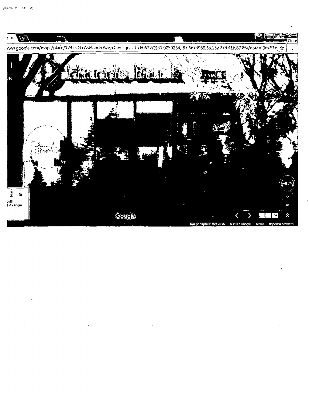